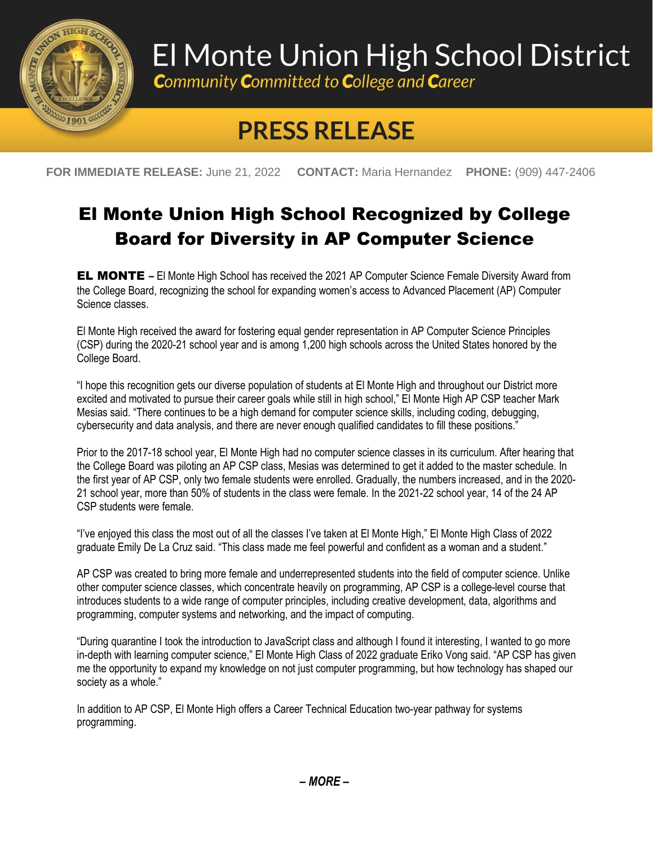

## El Monte Union High School District

**Community Committed to College and Career** 

## **PRESS RELEASE**

**FOR IMMEDIATE RELEASE:** June 21, 2022 **CONTACT:** Maria Hernandez **PHONE:** (909) 447-2406

## El Monte Union High School Recognized by College Board for Diversity in AP Computer Science

EL MONTE **–** El Monte High School has received the 2021 AP Computer Science Female Diversity Award from the College Board, recognizing the school for expanding women's access to Advanced Placement (AP) Computer Science classes.

El Monte High received the award for fostering equal gender representation in AP Computer Science Principles (CSP) during the 2020-21 school year and is among 1,200 high schools across the United States honored by the College Board.

"I hope this recognition gets our diverse population of students at El Monte High and throughout our District more excited and motivated to pursue their career goals while still in high school," El Monte High AP CSP teacher Mark Mesias said. "There continues to be a high demand for computer science skills, including coding, debugging, cybersecurity and data analysis, and there are never enough qualified candidates to fill these positions."

Prior to the 2017-18 school year, El Monte High had no computer science classes in its curriculum. After hearing that the College Board was piloting an AP CSP class, Mesias was determined to get it added to the master schedule. In the first year of AP CSP, only two female students were enrolled. Gradually, the numbers increased, and in the 2020- 21 school year, more than 50% of students in the class were female. In the 2021-22 school year, 14 of the 24 AP CSP students were female.

"I've enjoyed this class the most out of all the classes I've taken at El Monte High," El Monte High Class of 2022 graduate Emily De La Cruz said. "This class made me feel powerful and confident as a woman and a student."

AP CSP was created to bring more female and underrepresented students into the field of computer science. Unlike other computer science classes, which concentrate heavily on programming, AP CSP is a college-level course that introduces students to a wide range of computer principles, including creative development, data, algorithms and programming, computer systems and networking, and the impact of computing.

"During quarantine I took the introduction to JavaScript class and although I found it interesting, I wanted to go more in-depth with learning computer science," El Monte High Class of 2022 graduate Eriko Vong said. "AP CSP has given me the opportunity to expand my knowledge on not just computer programming, but how technology has shaped our society as a whole."

In addition to AP CSP, El Monte High offers a Career Technical Education two-year pathway for systems programming.